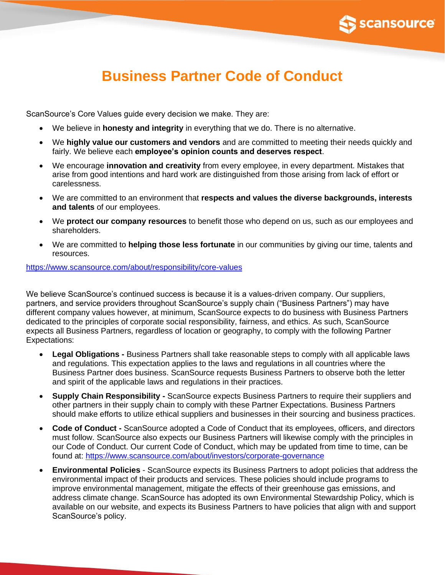

## **Business Partner Code of Conduct**

ScanSource's Core Values guide every decision we make. They are:

- We believe in **honesty and integrity** in everything that we do. There is no alternative.
- We **highly value our customers and vendors** and are committed to meeting their needs quickly and fairly. We believe each **employee's opinion counts and deserves respect**.
- We encourage **innovation and creativity** from every employee, in every department. Mistakes that arise from good intentions and hard work are distinguished from those arising from lack of effort or carelessness.
- We are committed to an environment that **respects and values the diverse backgrounds, interests and talents** of our employees.
- We **protect our company resources** to benefit those who depend on us, such as our employees and shareholders.
- We are committed to **helping those less fortunate** in our communities by giving our time, talents and resources.

## <https://www.scansource.com/about/responsibility/core-values>

We believe ScanSource's continued success is because it is a values-driven company. Our suppliers, partners, and service providers throughout ScanSource's supply chain ("Business Partners") may have different company values however, at minimum, ScanSource expects to do business with Business Partners dedicated to the principles of corporate social responsibility, fairness, and ethics. As such, ScanSource expects all Business Partners, regardless of location or geography, to comply with the following Partner Expectations:

- **Legal Obligations -** Business Partners shall take reasonable steps to comply with all applicable laws and regulations. This expectation applies to the laws and regulations in all countries where the Business Partner does business. ScanSource requests Business Partners to observe both the letter and spirit of the applicable laws and regulations in their practices.
- **Supply Chain Responsibility -** ScanSource expects Business Partners to require their suppliers and other partners in their supply chain to comply with these Partner Expectations. Business Partners should make efforts to utilize ethical suppliers and businesses in their sourcing and business practices.
- **Code of Conduct -** ScanSource adopted a Code of Conduct that its employees, officers, and directors must follow. ScanSource also expects our Business Partners will likewise comply with the principles in our Code of Conduct. Our current Code of Conduct, which may be updated from time to time, can be found at:<https://www.scansource.com/about/investors/corporate-governance>
- **Environmental Policies**  ScanSource expects its Business Partners to adopt policies that address the environmental impact of their products and services. These policies should include programs to improve environmental management, mitigate the effects of their greenhouse gas emissions, and address climate change. ScanSource has adopted its own Environmental Stewardship Policy, which is available on our website, and expects its Business Partners to have policies that align with and support ScanSource's policy.